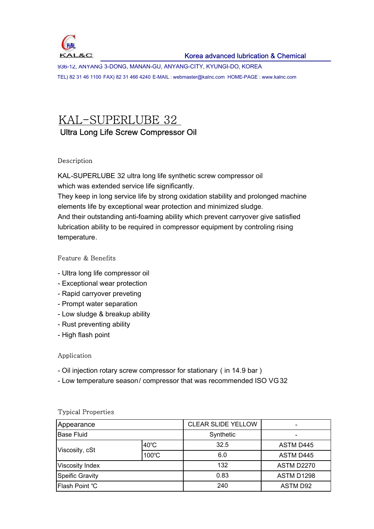

936-12, ANYANG 3-DONG, MANAN-GU, ANYANG-CITY, KYUNGI-DO, KOREA TEL) 82 31 46 1100 FAX) 82 31 466 4240 E-MAIL : webmaster@kalnc.com HOME-PAGE : www.kalnc.com

# KAL-SUPERLUBE 32 Ultra Long Life Screw Compressor Oil

### Description

KAL-SUPERLUBE 32 ultra long life synthetic screw compressor oil which was extended service life significantly.

They keep in long service life by strong oxidation stability and prolonged machine elements life by exceptional wear protection and minimized sludge.

And their outstanding anti-foaming ability which prevent carryover give satisfied lubrication ability to be required in compressor equipment by controling rising temperature.

### Feature & Benefits

- Ultra long life compressor oil
- Exceptional wear protection
- Rapid carryover preveting
- Prompt water separation
- Low sludge & breakup ability
- Rust preventing ability
- High flash point

### Application

- Oil injection rotary screw compressor for stationary ( in 14.9 bar )
- Low temperature season/ compressor that was recommended ISO VG 32

| Appearance             |       | <b>CLEAR SLIDE YELLOW</b> |            |
|------------------------|-------|---------------------------|------------|
| <b>Base Fluid</b>      |       | Synthetic                 |            |
| $40^{\circ}$ C         |       | 32.5                      | ASTM D445  |
| Viscosity, cSt         | 100°C | 6.0                       | ASTM D445  |
| <b>Viscosity Index</b> |       | 132                       | ASTM D2270 |
| <b>Speific Gravity</b> |       | 0.83                      | ASTM D1298 |
| Flash Point °C         |       | 240                       | ASTM D92   |

### Typical Properties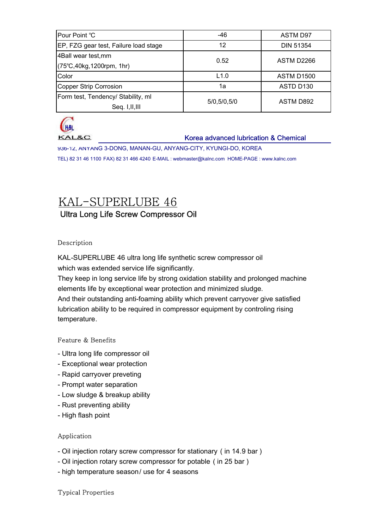| Pour Point °C                         | -46           | ASTM D97          |  |
|---------------------------------------|---------------|-------------------|--|
| EP, FZG gear test, Failure load stage | 12            | <b>DIN 51354</b>  |  |
| 4Ball wear test, mm                   | 0.52          | ASTM D2266        |  |
| (75°C, 40kg, 1200rpm, 1hr)            |               |                   |  |
| Color                                 | L1.0          | <b>ASTM D1500</b> |  |
| Copper Strip Corrosion                | 1a            | ASTD D130         |  |
| Form test, Tendency/ Stability, ml    |               | ASTM D892         |  |
| Seq. I, II, III                       | 5/0, 5/0, 5/0 |                   |  |



**KAL&C** 

### Korea advanced lubrication & Chemical

936-12, ANYANG 3-DONG, MANAN-GU, ANYANG-CITY, KYUNGI-DO, KOREA

TEL) 82 31 46 1100 FAX) 82 31 466 4240 E-MAIL : webmaster@kalnc.com HOME-PAGE : www.kalnc.com

# KAL-SUPERLUBE 46 Ultra Long Life Screw Compressor Oil

### Description

KAL-SUPERLUBE 46 ultra long life synthetic screw compressor oil which was extended service life significantly.

They keep in long service life by strong oxidation stability and prolonged machine elements life by exceptional wear protection and minimized sludge.

And their outstanding anti-foaming ability which prevent carryover give satisfied lubrication ability to be required in compressor equipment by controling rising temperature.

### Feature & Benefits

- Ultra long life compressor oil
- Exceptional wear protection
- Rapid carryover preveting
- Prompt water separation
- Low sludge & breakup ability
- Rust preventing ability
- High flash point

### Application

- Oil injection rotary screw compressor for stationary ( in 14.9 bar )
- Oil injection rotary screw compressor for potable ( in 25 bar )
- high temperature season/ use for 4 seasons

### Typical Properties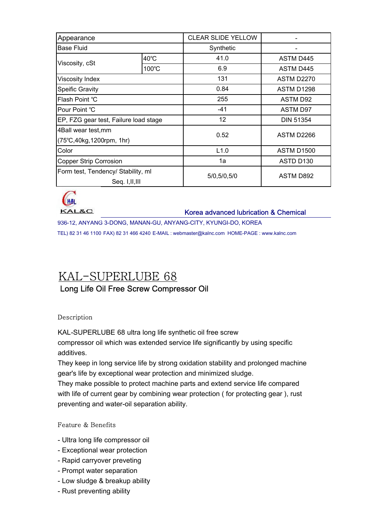| Appearance                            |                | <b>CLEAR SLIDE YELLOW</b> |                   |  |
|---------------------------------------|----------------|---------------------------|-------------------|--|
| <b>Base Fluid</b>                     |                | Synthetic                 |                   |  |
|                                       | $40^{\circ}$ C | 41.0                      | ASTM D445         |  |
| Viscosity, cSt                        | 100°C          | 6.9                       | ASTM D445         |  |
| Viscosity Index                       |                | 131                       | ASTM D2270        |  |
| <b>Speific Gravity</b>                |                | 0.84                      | <b>ASTM D1298</b> |  |
| Flash Point °C                        |                | 255                       | <b>ASTM D92</b>   |  |
| Pour Point °C                         |                | $-41$                     | <b>ASTM D97</b>   |  |
| EP, FZG gear test, Failure load stage |                | 12                        | <b>DIN 51354</b>  |  |
| 4Ball wear test, mm                   |                | 0.52                      | ASTM D2266        |  |
| (75°C, 40kg, 1200rpm, 1hr)            |                |                           |                   |  |
| Color                                 |                | L1.0                      | <b>ASTM D1500</b> |  |
| <b>Copper Strip Corrosion</b>         |                | 1a                        | ASTD D130         |  |
| Form test, Tendency/ Stability, ml    |                | 5/0,5/0,5/0               |                   |  |
| Seq. I, II, III                       |                |                           | ASTM D892         |  |



Korea advanced lubrication & Chemical

936-12, ANYANG 3-DONG, MANAN-GU, ANYANG-CITY, KYUNGI-DO, KOREA TEL) 82 31 46 1100 FAX) 82 31 466 4240 E-MAIL : webmaster@kalnc.com HOME-PAGE : www.kalnc.com

# KAL-SUPERLUBE 68 Long Life Oil Free Screw Compressor Oil

### Description

KAL-SUPERLUBE 68 ultra long life synthetic oil free screw compressor oil which was extended service life significantly by using specific additives.

They keep in long service life by strong oxidation stability and prolonged machine gear's life by exceptional wear protection and minimized sludge.

They make possible to protect machine parts and extend service life compared with life of current gear by combining wear protection ( for protecting gear ), rust preventing and water-oil separation ability.

### Feature & Benefits

- Ultra long life compressor oil
- Exceptional wear protection
- Rapid carryover preveting
- Prompt water separation
- Low sludge & breakup ability
- Rust preventing ability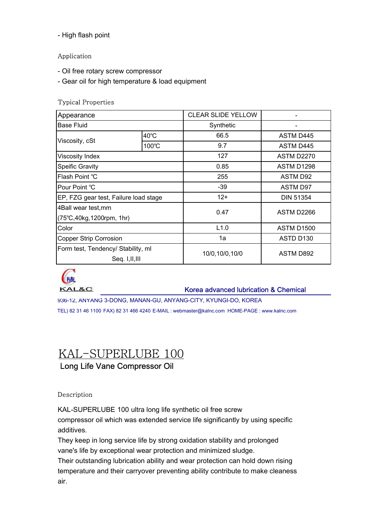- High flash point

### Application

- Oil free rotary screw compressor
- Gear oil for high temperature & load equipment

### Typical Properties

| Appearance                            |                | <b>CLEAR SLIDE YELLOW</b> |                   |  |
|---------------------------------------|----------------|---------------------------|-------------------|--|
| <b>Base Fluid</b>                     |                | Synthetic                 |                   |  |
|                                       | $40^{\circ}$ C | 66.5                      | <b>ASTM D445</b>  |  |
| Viscosity, cSt                        | 100°C          | 9.7                       | ASTM D445         |  |
| <b>Viscosity Index</b>                |                | 127                       | ASTM D2270        |  |
| Speific Gravity                       |                | 0.85                      | <b>ASTM D1298</b> |  |
| Flash Point °C                        |                | 255                       | <b>ASTM D92</b>   |  |
| Pour Point °C                         |                | $-39$                     | <b>ASTM D97</b>   |  |
| EP, FZG gear test, Failure load stage |                | $12+$                     | <b>DIN 51354</b>  |  |
| 4Ball wear test, mm                   |                | 0.47                      | ASTM D2266        |  |
| $(75^{\circ}C, 40kg, 1200$ rpm, 1hr)  |                |                           |                   |  |
| Color                                 |                | L1.0                      | <b>ASTM D1500</b> |  |
| Copper Strip Corrosion                |                | 1a                        | ASTD D130         |  |
| Form test, Tendency/ Stability, ml    |                | 10/0,10/0,10/0            |                   |  |
| Seq. I, II, III                       |                |                           | ASTM D892         |  |



Korea advanced lubrication & Chemical

936-12, ANYANG 3-DONG, MANAN-GU, ANYANG-CITY, KYUNGI-DO, KOREA TEL) 82 31 46 1100 FAX) 82 31 466 4240 E-MAIL : webmaster@kalnc.com HOME-PAGE : www.kalnc.com

## KAL-SUPERLUBE 100 Long Life Vane Compressor Oil

### Description

KAL-SUPERLUBE 100 ultra long life synthetic oil free screw

compressor oil which was extended service life significantly by using specific additives.

They keep in long service life by strong oxidation stability and prolonged vane's life by exceptional wear protection and minimized sludge.

Their outstanding lubrication ability and wear protection can hold down rising temperature and their carryover preventing ability contribute to make cleaness air.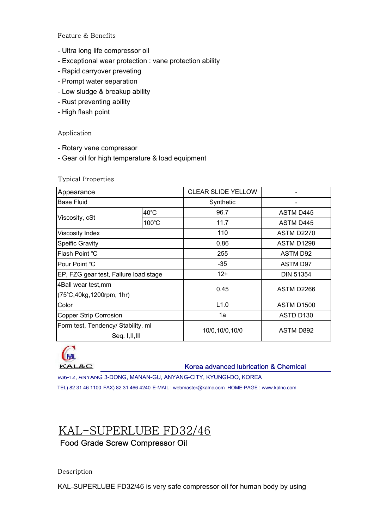### Feature & Benefits

- Ultra long life compressor oil
- Exceptional wear protection : vane protection ability
- Rapid carryover preveting
- Prompt water separation
- Low sludge & breakup ability
- Rust preventing ability
- High flash point

### Application

- Rotary vane compressor
- Gear oil for high temperature & load equipment

#### Typical Properties

| Appearance                            |                | <b>CLEAR SLIDE YELLOW</b> |                   |  |
|---------------------------------------|----------------|---------------------------|-------------------|--|
| <b>Base Fluid</b>                     |                | Synthetic                 |                   |  |
|                                       | $40^{\circ}$ C | 96.7                      | <b>ASTM D445</b>  |  |
| Viscosity, cSt                        | 100°C          | 11.7                      | ASTM D445         |  |
| Viscosity Index                       |                | 110                       | ASTM D2270        |  |
| <b>Speific Gravity</b>                |                | 0.86                      | <b>ASTM D1298</b> |  |
| Flash Point °C                        |                | 255                       | <b>ASTM D92</b>   |  |
| Pour Point °C                         |                | $-35$                     | <b>ASTM D97</b>   |  |
| EP, FZG gear test, Failure load stage |                | $12+$                     | <b>DIN 51354</b>  |  |
| 4Ball wear test, mm                   |                | 0.45                      | ASTM D2266        |  |
| (75°C, 40kg, 1200rpm, 1hr)            |                |                           |                   |  |
| Color                                 |                | L1.0                      | <b>ASTM D1500</b> |  |
| <b>Copper Strip Corrosion</b>         |                | 1a                        | ASTD D130         |  |
| Form test, Tendency/ Stability, ml    |                | 10/0,10/0,10/0            | ASTM D892         |  |
| Seq. I, II, III                       |                |                           |                   |  |



### Korea advanced lubrication & Chemical

936-12, ANYANG 3-DONG, MANAN-GU, ANYANG-CITY, KYUNGI-DO, KOREA

TEL) 82 31 46 1100 FAX) 82 31 466 4240 E-MAIL : webmaster@kalnc.com HOME-PAGE : www.kalnc.com

# KAL-SUPERLUBE FD32/46

### Food Grade Screw Compressor Oil

### Description

KAL-SUPERLUBE FD32/46 is very safe compressor oil for human body by using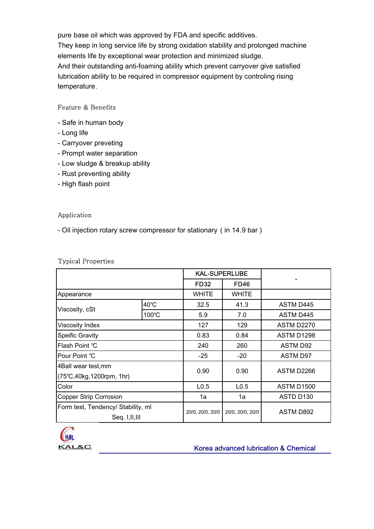pure base oil which was approved by FDA and specific additives. They keep in long service life by strong oxidation stability and prolonged machine elements life by exceptional wear protection and minimized sludge. And their outstanding anti-foaming ability which prevent carryover give satisfied lubrication ability to be required in compressor equipment by controling rising temperature.

### Feature & Benefits

- Safe in human body
- Long life
- Carryover preveting
- Prompt water separation
- Low sludge & breakup ability
- Rust preventing ability
- High flash point

### Application

- Oil injection rotary screw compressor for stationary ( in 14.9 bar )

#### Typical Properties

|                                      |                | <b>KAL-SUPERLUBE</b> |                  |                  |
|--------------------------------------|----------------|----------------------|------------------|------------------|
|                                      |                | <b>FD32</b>          | <b>FD46</b>      |                  |
| Appearance                           |                | <b>WHITE</b>         | WHITE            |                  |
| Viscosity, cSt                       | $40^{\circ}$ C | 32.5                 | 41.3             | <b>ASTM D445</b> |
|                                      | 100°C          | 5.9                  | 7.0              | <b>ASTM D445</b> |
| Viscosity Index                      |                | 127                  | 129              | ASTM D2270       |
| <b>Speific Gravity</b>               |                | 0.83                 | 0.84             | ASTM D1298       |
| Flash Point °C                       |                | 240                  | 260              | <b>ASTM D92</b>  |
| Pour Point °C                        |                | $-25$                | $-20$            | <b>ASTM D97</b>  |
| 4Ball wear test, mm                  |                | 0.90                 | 0.90             | ASTM D2266       |
| $(75^{\circ}C, 40kg, 1200$ rpm, 1hr) |                |                      |                  |                  |
| Color                                |                | L <sub>0.5</sub>     | L <sub>0.5</sub> | ASTM D1500       |
| <b>Copper Strip Corrosion</b>        |                | 1a                   | 1a               | ASTD D130        |
| Form test, Tendency/ Stability, ml   |                | 20/0, 20/0, 20/0     | 20/0, 20/0, 20/0 | ASTM D892        |
| Seq. I, II, III                      |                |                      |                  |                  |



Korea advanced lubrication & Chemical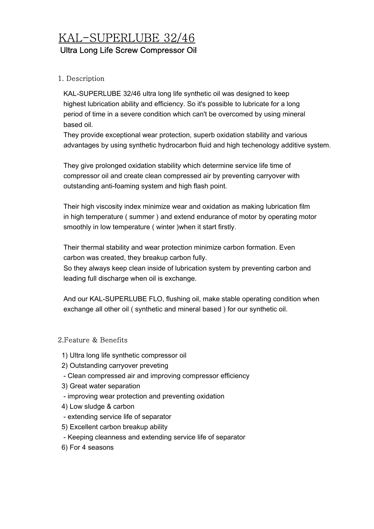# KAL-SUPERLUBE 32/46 Ultra Long Life Screw Compressor Oil

### 1. Description

 KAL-SUPERLUBE 32/46 ultra long life synthetic oil was designed to keep highest lubrication ability and efficiency. So it's possible to lubricate for a long period of time in a severe condition which can't be overcomed by using mineral based oil.

 They provide exceptional wear protection, superb oxidation stability and various advantages by using synthetic hydrocarbon fluid and high techenology additive system.

 They give prolonged oxidation stability which determine service life time of compressor oil and create clean compressed air by preventing carryover with outstanding anti-foaming system and high flash point.

 Their high viscosity index minimize wear and oxidation as making lubrication film in high temperature ( summer ) and extend endurance of motor by operating motor smoothly in low temperature ( winter )when it start firstly.

 Their thermal stability and wear protection minimize carbon formation. Even carbon was created, they breakup carbon fully.

 So they always keep clean inside of lubrication system by preventing carbon and leading full discharge when oil is exchange.

 And our KAL-SUPERLUBE FLO, flushing oil, make stable operating condition when exchange all other oil ( synthetic and mineral based ) for our synthetic oil.

### 2.Feature & Benefits

- 1) Ultra long life synthetic compressor oil
- 2) Outstanding carryover preveting
- Clean compressed air and improving compressor efficiency
- 3) Great water separation
- improving wear protection and preventing oxidation
- 4) Low sludge & carbon
- extending service life of separator
- 5) Excellent carbon breakup ability
- Keeping cleanness and extending service life of separator
- 6) For 4 seasons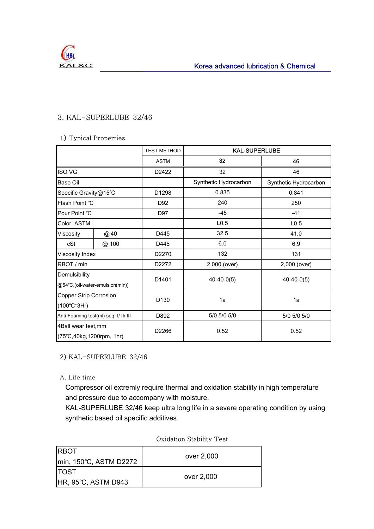### 3. KAL-SUPERLUBE 32/46

### 1) Typical Properties

|                                                        |       | <b>TEST METHOD</b> | <b>KAL-SUPERLUBE</b>  |                       |
|--------------------------------------------------------|-------|--------------------|-----------------------|-----------------------|
|                                                        |       | <b>ASTM</b>        | 32                    | 46                    |
| <b>ISO VG</b>                                          |       | D2422              | 32                    | 46                    |
| Base Oil                                               |       |                    | Synthetic Hydrocarbon | Synthetic Hydrocarbon |
| Specific Gravity@15°C                                  |       | D1298              | 0.835                 | 0.841                 |
| Flash Point °C                                         |       | D92                | 240                   | 250                   |
| Pour Point °C                                          |       | D97                | $-45$                 | $-41$                 |
| Color, ASTM                                            |       |                    | L <sub>0.5</sub>      | L <sub>0.5</sub>      |
| Viscosity                                              | @40   | D445               | 32.5                  | 41.0                  |
| cSt                                                    | @ 100 | D445               | 6.0                   | 6.9                   |
| Viscosity Index                                        |       | D2270              | 132                   | 131                   |
| RBOT / min<br>D2272                                    |       | 2,000 (over)       | 2,000 (over)          |                       |
| Demulsibility<br>@54°C,(oil-water-emulsion(min))       |       | D <sub>1401</sub>  | $40-40-0(5)$          | $40-40-0(5)$          |
| <b>Copper Strip Corrosion</b><br>$(100^{\circ}C^*3Hr)$ |       | D <sub>130</sub>   | 1a                    | 1a                    |
| Anti-Foaming test(ml) seq. I/ II/ III                  |       | D892               | 5/0 5/0 5/0           | 5/0 5/0 5/0           |
| 4Ball wear test, mm<br>(75°C,40kg,1200rpm, 1hr)        |       | D2266              | 0.52                  | 0.52                  |

### 2) KAL-SUPERLUBE 32/46

A. Life time

 Compressor oil extremly require thermal and oxidation stability in high temperature and pressure due to accompany with moisture.

 KAL-SUPERLUBE 32/46 keep ultra long life in a severe operating condition by using synthetic based oil specific additives.

| <b>IRBOT</b><br>min, 150°C, ASTM D2272 | over 2,000 |
|----------------------------------------|------------|
| <b>ITOST</b>                           | over 2,000 |
| <b>HR, 95°C, ASTM D943</b>             |            |

### Oxidation Stability Test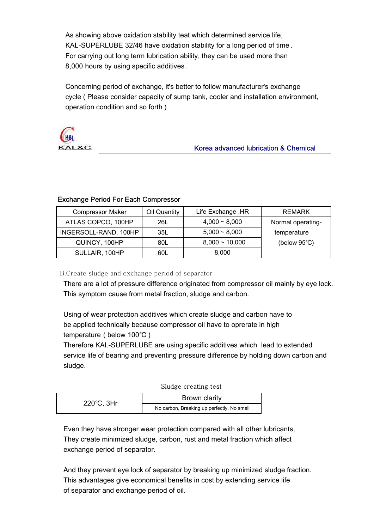As showing above oxidation stability teat which determined service life, KAL-SUPERLUBE 32/46 have oxidation stability for a long period of time . For carrying out long term lubrication ability, they can be used more than 8,000 hours by using specific additives.

 Concerning period of exchange, it's better to follow manufacturer's exchange cycle ( Please consider capacity of sump tank, cooler and installation environment, operation condition and so forth )



### Korea advanced lubrication & Chemical

### Exchange Period For Each Compressor

| <b>Compressor Maker</b> | Oil Quantity | Life Exchange, HR   | <b>REMARK</b>          |
|-------------------------|--------------|---------------------|------------------------|
| ATLAS COPCO, 100HP      | 26L          | $4,000 - 8,000$     | Normal operating-      |
| INGERSOLL-RAND, 100HP   | 35L          | $5,000 - 8,000$     | temperature            |
| QUINCY, 100HP           | 80L          | $8,000 \sim 10,000$ | (below $95^{\circ}$ C) |
| SULLAIR, 100HP          | 60L          | 8,000               |                        |

B.Create sludge and exchange period of separator

 There are a lot of pressure difference originated from compressor oil mainly by eye lock. This symptom cause from metal fraction, sludge and carbon.

 Using of wear protection additives which create sludge and carbon have to be applied technically because compressor oil have to oprerate in high temperature ( below 100℃ )

 Therefore KAL-SUPERLUBE are using specific additives which lead to extended service life of bearing and preventing pressure difference by holding down carbon and sludge.

### Sludge creating test

| 220°C, 3Hr | Brown clarity                              |  |
|------------|--------------------------------------------|--|
|            | No carbon, Breaking up perfectly, No smell |  |

 Even they have stronger wear protection compared with all other lubricants, They create minimized sludge, carbon, rust and metal fraction which affect exchange period of separator.

 And they prevent eye lock of separator by breaking up minimized sludge fraction. This advantages give economical benefits in cost by extending service life of separator and exchange period of oil.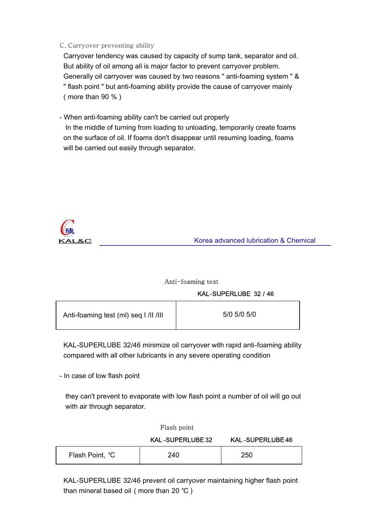### C. Carryover preventing ability

 Carryover tendency was caused by capacity of sump tank, separator and oil. But ability of oil among all is major factor to prevent carryover problem. Generally oil carryover was caused by two reasons " anti-foaming system " & " flash point " but anti-foaming ability provide the cause of carryover mainly ( more than 90 % )

- When anti-foaming ability can't be carried out properly

 In the middle of turning from loading to unloading, temporarily create foams on the surface of oil. If foams don't disappear until resuming loading, foams will be carried out easily through separator.



Korea advanced lubrication & Chemical

#### Anti-foaming test

#### KAL-SUPERLUBE 32 / 46

| Anti-foaming test (ml) seq I /II /III | 5/0 5/0 5/0 |
|---------------------------------------|-------------|
|                                       |             |

 KAL-SUPERLUBE 32/46 minimize oil carryover with rapid anti-foaming ability compared with all other lubricants in any severe operating condition

- In case of low flash point

 they can't prevent to evaporate with low flash point a number of oil will go out with air through separator.

|                 | Flash point             |                         |
|-----------------|-------------------------|-------------------------|
|                 | <b>KAL-SUPERLUBE 32</b> | <b>KAL-SUPERLUBE 46</b> |
| Flash Point, °C | 240                     | 250                     |

 KAL-SUPERLUBE 32/46 prevent oil carryover maintaining higher flash point than mineral based oil ( more than 20 ℃ )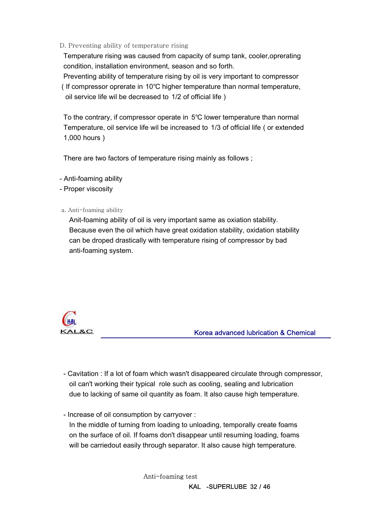### D. Preventing ability of temperature rising

 Temperature rising was caused from capacity of sump tank, cooler,oprerating condition, installation environment, season and so forth.

 Preventing ability of temperature rising by oil is very important to compressor ( If compressor oprerate in 10℃ higher temperature than normal temperature, oil service life wil be decreased to 1/2 of official life )

 To the contrary, if compressor operate in 5℃ lower temperature than normal Temperature, oil service life wil be increased to 1/3 of official life ( or extended 1,000 hours )

There are two factors of temperature rising mainly as follows ;

- Anti-foaming ability
- Proper viscosity
- a. Anti-foaming ability

 Anit-foaming ability of oil is very important same as oxiation stability. Because even the oil which have great oxidation stability, oxidation stability can be droped drastically with temperature rising of compressor by bad anti-foaming system.



Korea advanced lubrication & Chemical

 - Cavitation : If a lot of foam which wasn't disappeared circulate through compressor, oil can't working their typical role such as cooling, sealing and lubrication due to lacking of same oil quantity as foam. It also cause high temperature.

- Increase of oil consumption by carryover :

 In the middle of turning from loading to unloading, temporally create foams on the surface of oil. If foams don't disappear until resuming loading, foams will be carriedout easily through separator. It also cause high temperature.

> Anti-foaming test KAL -SUPERLUBE 32 / 46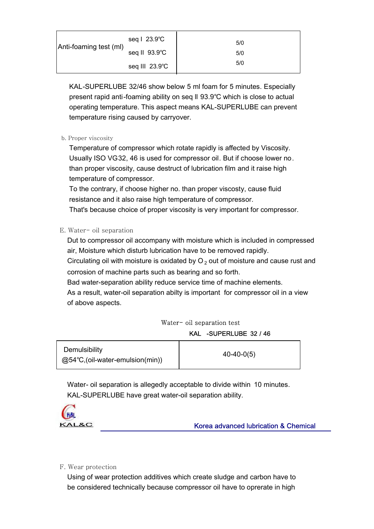| Anti-foaming test (ml) | seq   23.9°C   | 5/0 |
|------------------------|----------------|-----|
|                        | seq II 93.9°C  | 5/0 |
|                        | seq III 23.9°C | 5/0 |

 KAL-SUPERLUBE 32/46 show below 5 ml foam for 5 minutes. Especially present rapid anti-foaming ability on seq ll 93.9℃ which is close to actual operating temperature. This aspect means KAL-SUPERLUBE can prevent temperature rising caused by carryover.

b. Proper viscosity

 Temperature of compressor which rotate rapidly is affected by Viscosity. Usually ISO VG32, 46 is used for compressor oil. But if choose lower no. than proper viscosity, cause destruct of lubrication film and it raise high temperature of compressor.

 To the contrary, if choose higher no. than proper viscosty, cause fluid resistance and it also raise high temperature of compressor.

That's because choice of proper viscosity is very important for compressor.

E. Water- oil separation

 Dut to compressor oil accompany with moisture which is included in compressed air, Moisture which disturb lubrication have to be removed rapidly.

Circulating oil with moisture is oxidated by  $O<sub>2</sub>$  out of moisture and cause rust and corrosion of machine parts such as bearing and so forth.

Bad water-separation ability reduce service time of machine elements.

 As a result, water-oil separation abilty is important for compressor oil in a view of above aspects.

### KAL -SUPERLUBE 32 / 46 Water- oil separation test

| Demulsibility                              | $40-40-0(5)$ |
|--------------------------------------------|--------------|
| $@54^{\circ}C$ , (oil-water-emulsion(min)) |              |

 Water- oil separation is allegedly acceptable to divide within 10 minutes. KAL-SUPERLUBE have great water-oil separation ability.



Korea advanced lubrication & Chemical

F. Wear protection

 Using of wear protection additives which create sludge and carbon have to be considered technically because compressor oil have to oprerate in high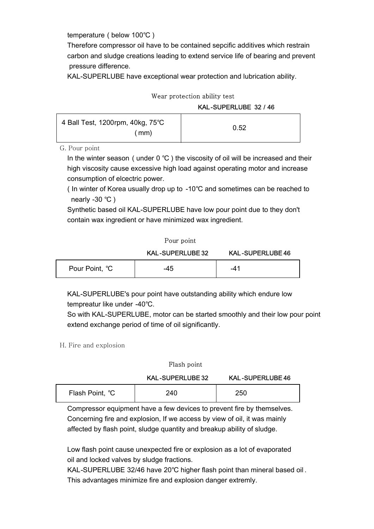temperature ( below 100℃ )

 Therefore compressor oil have to be contained sepcific additives which restrain carbon and sludge creations leading to extend service life of bearing and prevent pressure difference.

KAL-SUPERLUBE have exceptional wear protection and lubrication ability.

### Wear protection ability test

KAL-SUPERLUBE 32 / 46

| $\vert$ 4 Ball Test, 1200rpm, 40kg, 75°C |      | 0.52 |
|------------------------------------------|------|------|
|                                          | (mm) |      |

G. Pour point

 In the winter season ( under 0 ℃ ) the viscosity of oil will be increased and their high viscosity cause excessive high load against operating motor and increase consumption of elcectric power.

 ( In winter of Korea usually drop up to -10℃ and sometimes can be reached to nearly -30 ℃ )

 Synthetic based oil KAL-SUPERLUBE have low pour point due to they don't contain wax ingredient or have minimized wax ingredient.

|                | Pour point              |                         |  |
|----------------|-------------------------|-------------------------|--|
|                | <b>KAL-SUPERLUBE 32</b> | <b>KAL-SUPERLUBE 46</b> |  |
| Pour Point, °C | -45                     | -41                     |  |

 KAL-SUPERLUBE's pour point have outstanding ability which endure low tempreatur like under -40℃.

 So with KAL-SUPERLUBE, motor can be started smoothly and their low pour point extend exchange period of time of oil significantly.

H. Fire and explosion

|                 | Flash point             |                         |  |
|-----------------|-------------------------|-------------------------|--|
|                 | <b>KAL-SUPERLUBE 32</b> | <b>KAL-SUPERLUBE 46</b> |  |
| Flash Point, °C | 240                     | 250                     |  |

 Compressor equipment have a few devices to prevent fire by themselves. Concerning fire and explosion, If we access by view of oil, it was mainly affected by flash point, sludge quantity and breakup ability of sludge.

 Low flash point cause unexpected fire or explosion as a lot of evaporated oil and locked valves by sludge fractions.

 KAL-SUPERLUBE 32/46 have 20℃ higher flash point than mineral based oil . This advantages minimize fire and explosion danger extremly.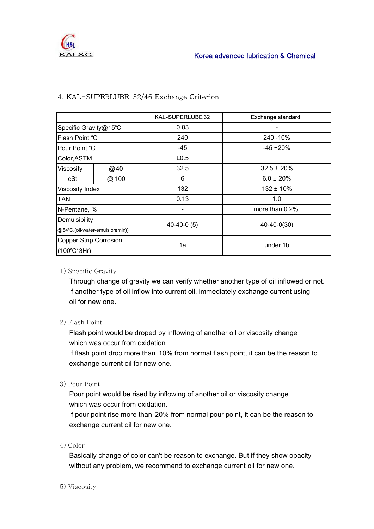|                                 |      | <b>KAL-SUPERLUBE 32</b> | <b>Exchange standard</b> |  |
|---------------------------------|------|-------------------------|--------------------------|--|
| Specific Gravity@15°C           |      | 0.83                    |                          |  |
| Flash Point °C                  |      | 240                     | 240 - 10%                |  |
| Pour Point °C                   |      | -45                     | $-45 + 20%$              |  |
| Color, ASTM                     |      | L <sub>0.5</sub>        |                          |  |
| Viscosity                       | @40  | 32.5                    | $32.5 \pm 20\%$          |  |
| cSt                             | @100 | 6                       | $6.0 \pm 20\%$           |  |
| Viscosity Index                 |      | 132                     | $132 \pm 10\%$           |  |
| TAN                             |      | 0.13                    | 1.0                      |  |
| N-Pentane, %                    |      |                         | more than 0.2%           |  |
| Demulsibility                   |      | $40-40-0(5)$            | 40-40-0(30)              |  |
| @54°C,(oil-water-emulsion(min)) |      |                         |                          |  |
| <b>Copper Strip Corrosion</b>   |      | 1a                      | under 1b                 |  |
| $(100^{\circ}C^*3Hr)$           |      |                         |                          |  |

### 4. KAL-SUPERLUBE 32/46 Exchange Criterion

### 1) Specific Gravity

 Through change of gravity we can verify whether another type of oil inflowed or not. If another type of oil inflow into current oil, immediately exchange current using oil for new one.

### 2) Flash Point

 Flash point would be droped by inflowing of another oil or viscosity change which was occur from oxidation.

 If flash point drop more than 10% from normal flash point, it can be the reason to exchange current oil for new one.

### 3) Pour Point

 Pour point would be rised by inflowing of another oil or viscosity change which was occur from oxidation.

 If pour point rise more than 20% from normal pour point, it can be the reason to exchange current oil for new one.

### 4) Color

 Basically change of color can't be reason to exchange. But if they show opacity without any problem, we recommend to exchange current oil for new one.